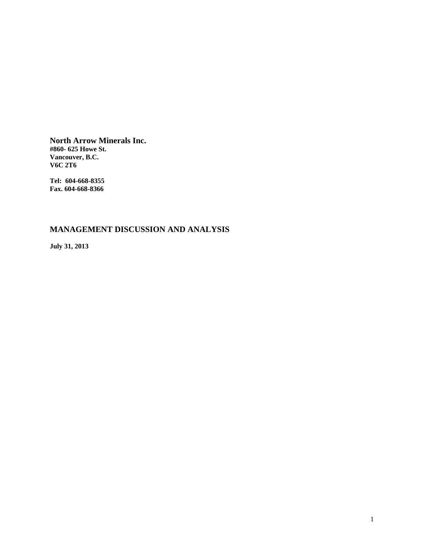**North Arrow Minerals Inc. #860- 625 Howe St. Vancouver, B.C. V6C 2T6** 

**Tel: 604-668-8355 Fax. 604-668-8366** 

# **MANAGEMENT DISCUSSION AND ANALYSIS**

**July 31, 2013**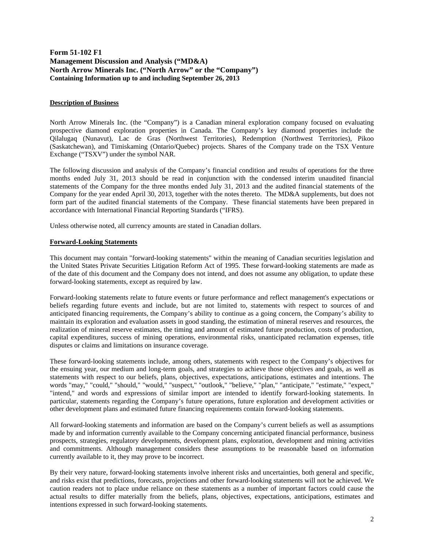# **Form 51-102 F1 Management Discussion and Analysis ("MD&A) North Arrow Minerals Inc. ("North Arrow" or the "Company") Containing Information up to and including September 26, 2013**

# **Description of Business**

North Arrow Minerals Inc. (the "Company") is a Canadian mineral exploration company focused on evaluating prospective diamond exploration properties in Canada. The Company's key diamond properties include the Qilalugaq (Nunavut), Lac de Gras (Northwest Territories), Redemption (Northwest Territories), Pikoo (Saskatchewan), and Timiskaming (Ontario/Quebec) projects. Shares of the Company trade on the TSX Venture Exchange ("TSXV") under the symbol NAR.

The following discussion and analysis of the Company's financial condition and results of operations for the three months ended July 31, 2013 should be read in conjunction with the condensed interim unaudited financial statements of the Company for the three months ended July 31, 2013 and the audited financial statements of the Company for the year ended April 30, 2013, together with the notes thereto. The MD&A supplements, but does not form part of the audited financial statements of the Company. These financial statements have been prepared in accordance with International Financial Reporting Standards ("IFRS).

Unless otherwise noted, all currency amounts are stated in Canadian dollars.

# **Forward-Looking Statements**

This document may contain "forward-looking statements" within the meaning of Canadian securities legislation and the United States Private Securities Litigation Reform Act of 1995. These forward-looking statements are made as of the date of this document and the Company does not intend, and does not assume any obligation, to update these forward-looking statements, except as required by law.

Forward-looking statements relate to future events or future performance and reflect management's expectations or beliefs regarding future events and include, but are not limited to, statements with respect to sources of and anticipated financing requirements, the Company's ability to continue as a going concern, the Company's ability to maintain its exploration and evaluation assets in good standing, the estimation of mineral reserves and resources, the realization of mineral reserve estimates, the timing and amount of estimated future production, costs of production, capital expenditures, success of mining operations, environmental risks, unanticipated reclamation expenses, title disputes or claims and limitations on insurance coverage.

These forward-looking statements include, among others, statements with respect to the Company's objectives for the ensuing year, our medium and long-term goals, and strategies to achieve those objectives and goals, as well as statements with respect to our beliefs, plans, objectives, expectations, anticipations, estimates and intentions. The words "may," "could," "should," "would," "suspect," "outlook," "believe," "plan," "anticipate," "estimate," "expect," "intend," and words and expressions of similar import are intended to identify forward-looking statements. In particular, statements regarding the Company's future operations, future exploration and development activities or other development plans and estimated future financing requirements contain forward-looking statements.

All forward-looking statements and information are based on the Company's current beliefs as well as assumptions made by and information currently available to the Company concerning anticipated financial performance, business prospects, strategies, regulatory developments, development plans, exploration, development and mining activities and commitments. Although management considers these assumptions to be reasonable based on information currently available to it, they may prove to be incorrect.

By their very nature, forward-looking statements involve inherent risks and uncertainties, both general and specific, and risks exist that predictions, forecasts, projections and other forward-looking statements will not be achieved. We caution readers not to place undue reliance on these statements as a number of important factors could cause the actual results to differ materially from the beliefs, plans, objectives, expectations, anticipations, estimates and intentions expressed in such forward-looking statements.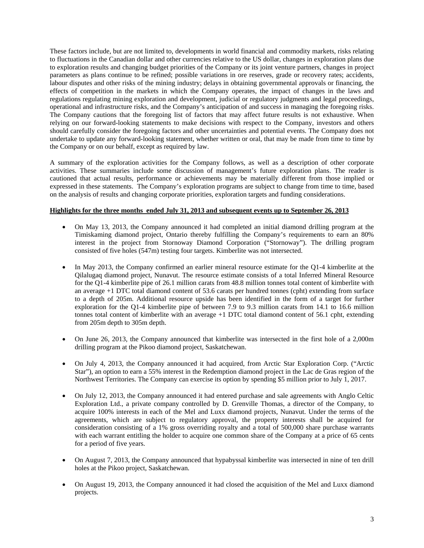These factors include, but are not limited to, developments in world financial and commodity markets, risks relating to fluctuations in the Canadian dollar and other currencies relative to the US dollar, changes in exploration plans due to exploration results and changing budget priorities of the Company or its joint venture partners, changes in project parameters as plans continue to be refined; possible variations in ore reserves, grade or recovery rates; accidents, labour disputes and other risks of the mining industry; delays in obtaining governmental approvals or financing, the effects of competition in the markets in which the Company operates, the impact of changes in the laws and regulations regulating mining exploration and development, judicial or regulatory judgments and legal proceedings, operational and infrastructure risks, and the Company's anticipation of and success in managing the foregoing risks. The Company cautions that the foregoing list of factors that may affect future results is not exhaustive. When relying on our forward-looking statements to make decisions with respect to the Company, investors and others should carefully consider the foregoing factors and other uncertainties and potential events. The Company does not undertake to update any forward-looking statement, whether written or oral, that may be made from time to time by the Company or on our behalf, except as required by law.

A summary of the exploration activities for the Company follows, as well as a description of other corporate activities. These summaries include some discussion of management's future exploration plans. The reader is cautioned that actual results, performance or achievements may be materially different from those implied or expressed in these statements. The Company's exploration programs are subject to change from time to time, based on the analysis of results and changing corporate priorities, exploration targets and funding considerations.

#### **Highlights for the three months ended July 31, 2013 and subsequent events up to September 26, 2013**

- On May 13, 2013, the Company announced it had completed an initial diamond drilling program at the Timiskaming diamond project, Ontario thereby fulfilling the Company's requirements to earn an 80% interest in the project from Stornoway Diamond Corporation ("Stornoway"). The drilling program consisted of five holes (547m) testing four targets. Kimberlite was not intersected.
- In May 2013, the Company confirmed an earlier mineral resource estimate for the Q1-4 kimberlite at the Qilalugaq diamond project, Nunavut. The resource estimate consists of a total Inferred Mineral Resource for the Q1-4 kimberlite pipe of 26.1 million carats from 48.8 million tonnes total content of kimberlite with an average +1 DTC total diamond content of 53.6 carats per hundred tonnes (cpht) extending from surface to a depth of 205m. Additional resource upside has been identified in the form of a target for further exploration for the Q1-4 kimberlite pipe of between 7.9 to 9.3 million carats from 14.1 to 16.6 million tonnes total content of kimberlite with an average +1 DTC total diamond content of 56.1 cpht, extending from 205m depth to 305m depth.
- On June 26, 2013, the Company announced that kimberlite was intersected in the first hole of a 2,000m drilling program at the Pikoo diamond project, Saskatchewan.
- On July 4, 2013, the Company announced it had acquired, from Arctic Star Exploration Corp. ("Arctic Star"), an option to earn a 55% interest in the Redemption diamond project in the Lac de Gras region of the Northwest Territories. The Company can exercise its option by spending \$5 million prior to July 1, 2017.
- On July 12, 2013, the Company announced it had entered purchase and sale agreements with Anglo Celtic Exploration Ltd., a private company controlled by D. Grenville Thomas, a director of the Company, to acquire 100% interests in each of the Mel and Luxx diamond projects, Nunavut. Under the terms of the agreements, which are subject to regulatory approval, the property interests shall be acquired for consideration consisting of a 1% gross overriding royalty and a total of 500,000 share purchase warrants with each warrant entitling the holder to acquire one common share of the Company at a price of 65 cents for a period of five years.
- On August 7, 2013, the Company announced that hypabyssal kimberlite was intersected in nine of ten drill holes at the Pikoo project, Saskatchewan.
- On August 19, 2013, the Company announced it had closed the acquisition of the Mel and Luxx diamond projects.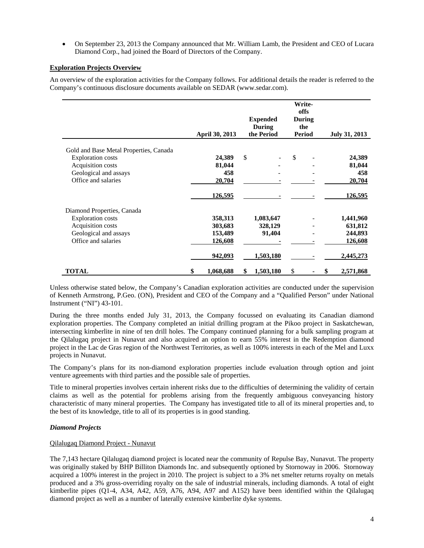On September 23, 2013 the Company announced that Mr. William Lamb, the President and CEO of Lucara Diamond Corp., had joined the Board of Directors of the Company.

# **Exploration Projects Overview**

An overview of the exploration activities for the Company follows. For additional details the reader is referred to the Company's continuous disclosure documents available on SEDAR (www.sedar.com).

|                                               | April 30, 2013   | Write-<br>offs<br><b>Expended</b><br>During<br><b>During</b><br>the<br>the Period<br><b>Period</b> |           | <b>July 31, 2013</b> |    |                  |
|-----------------------------------------------|------------------|----------------------------------------------------------------------------------------------------|-----------|----------------------|----|------------------|
|                                               |                  |                                                                                                    |           |                      |    |                  |
| Gold and Base Metal Properties, Canada        |                  | \$                                                                                                 |           | \$                   |    |                  |
| <b>Exploration costs</b><br>Acquisition costs | 24,389<br>81,044 |                                                                                                    |           |                      |    | 24,389<br>81,044 |
| Geological and assays                         | 458              |                                                                                                    |           |                      |    | 458              |
| Office and salaries                           | 20,704           |                                                                                                    |           |                      |    | 20,704           |
|                                               | 126,595          |                                                                                                    |           |                      |    | 126,595          |
| Diamond Properties, Canada                    |                  |                                                                                                    |           |                      |    |                  |
| <b>Exploration</b> costs                      | 358,313          |                                                                                                    | 1,083,647 |                      |    | 1,441,960        |
| Acquisition costs                             | 303,683          |                                                                                                    | 328,129   |                      |    | 631,812          |
| Geological and assays                         | 153,489          |                                                                                                    | 91,404    |                      |    | 244,893          |
| Office and salaries                           | 126,608          |                                                                                                    |           |                      |    | 126,608          |
|                                               | 942,093          |                                                                                                    | 1,503,180 |                      |    | 2,445,273        |
| <b>TOTAL</b>                                  | \$<br>1,068,688  | \$                                                                                                 | 1,503,180 | \$                   | \$ | 2,571,868        |

Unless otherwise stated below, the Company's Canadian exploration activities are conducted under the supervision of Kenneth Armstrong, P.Geo. (ON), President and CEO of the Company and a "Qualified Person" under National Instrument ("NI") 43-101.

During the three months ended July 31, 2013, the Company focussed on evaluating its Canadian diamond exploration properties. The Company completed an initial drilling program at the Pikoo project in Saskatchewan, intersecting kimberlite in nine of ten drill holes. The Company continued planning for a bulk sampling program at the Qilalugaq project in Nunavut and also acquired an option to earn 55% interest in the Redemption diamond project in the Lac de Gras region of the Northwest Territories, as well as 100% interests in each of the Mel and Luxx projects in Nunavut.

The Company's plans for its non-diamond exploration properties include evaluation through option and joint venture agreements with third parties and the possible sale of properties.

Title to mineral properties involves certain inherent risks due to the difficulties of determining the validity of certain claims as well as the potential for problems arising from the frequently ambiguous conveyancing history characteristic of many mineral properties. The Company has investigated title to all of its mineral properties and, to the best of its knowledge, title to all of its properties is in good standing.

# *Diamond Projects*

# Qilalugaq Diamond Project - Nunavut

The 7,143 hectare Qilalugaq diamond project is located near the community of Repulse Bay, Nunavut. The property was originally staked by BHP Billiton Diamonds Inc. and subsequently optioned by Stornoway in 2006. Stornoway acquired a 100% interest in the project in 2010. The project is subject to a 3% net smelter returns royalty on metals produced and a 3% gross-overriding royalty on the sale of industrial minerals, including diamonds. A total of eight kimberlite pipes (Q1-4, A34, A42, A59, A76, A94, A97 and A152) have been identified within the Qilalugaq diamond project as well as a number of laterally extensive kimberlite dyke systems.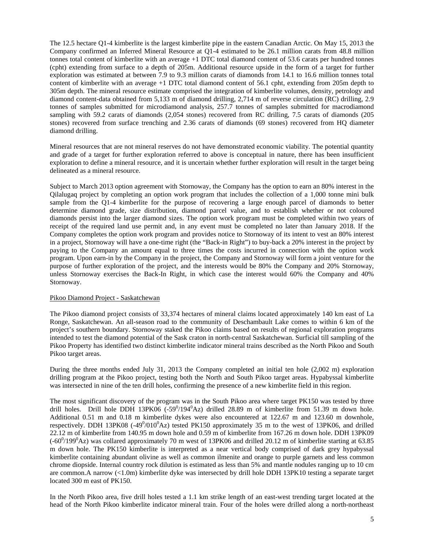The 12.5 hectare Q1-4 kimberlite is the largest kimberlite pipe in the eastern Canadian Arctic. On May 15, 2013 the Company confirmed an Inferred Mineral Resource at Q1-4 estimated to be 26.1 million carats from 48.8 million tonnes total content of kimberlite with an average +1 DTC total diamond content of 53.6 carats per hundred tonnes (cpht) extending from surface to a depth of 205m. Additional resource upside in the form of a target for further exploration was estimated at between 7.9 to 9.3 million carats of diamonds from 14.1 to 16.6 million tonnes total content of kimberlite with an average +1 DTC total diamond content of 56.1 cpht, extending from 205m depth to 305m depth. The mineral resource estimate comprised the integration of kimberlite volumes, density, petrology and diamond content-data obtained from 5,133 m of diamond drilling, 2,714 m of reverse circulation (RC) drilling, 2.9 tonnes of samples submitted for microdiamond analysis, 257.7 tonnes of samples submitted for macrodiamond sampling with 59.2 carats of diamonds (2,054 stones) recovered from RC drilling, 7.5 carats of diamonds (205 stones) recovered from surface trenching and 2.36 carats of diamonds (69 stones) recovered from HQ diameter diamond drilling.

Mineral resources that are not mineral reserves do not have demonstrated economic viability. The potential quantity and grade of a target for further exploration referred to above is conceptual in nature, there has been insufficient exploration to define a mineral resource, and it is uncertain whether further exploration will result in the target being delineated as a mineral resource.

Subject to March 2013 option agreement with Stornoway, the Company has the option to earn an 80% interest in the Qilalugaq project by completing an option work program that includes the collection of a 1,000 tonne mini bulk sample from the Q1-4 kimberlite for the purpose of recovering a large enough parcel of diamonds to better determine diamond grade, size distribution, diamond parcel value, and to establish whether or not coloured diamonds persist into the larger diamond sizes. The option work program must be completed within two years of receipt of the required land use permit and, in any event must be completed no later than January 2018. If the Company completes the option work program and provides notice to Stornoway of its intent to vest an 80% interest in a project, Stornoway will have a one-time right (the "Back-in Right") to buy-back a 20% interest in the project by paying to the Company an amount equal to three times the costs incurred in connection with the option work program. Upon earn-in by the Company in the project, the Company and Stornoway will form a joint venture for the purpose of further exploration of the project, and the interests would be 80% the Company and 20% Stornoway, unless Stornoway exercises the Back-In Right, in which case the interest would 60% the Company and 40% Stornoway.

# Pikoo Diamond Project - Saskatchewan

The Pikoo diamond project consists of 33,374 hectares of mineral claims located approximately 140 km east of La Ronge, Saskatchewan. An all-season road to the community of Deschambault Lake comes to within 6 km of the project's southern boundary. Stornoway staked the Pikoo claims based on results of regional exploration programs intended to test the diamond potential of the Sask craton in north-central Saskatchewan. Surficial till sampling of the Pikoo Property has identified two distinct kimberlite indicator mineral trains described as the North Pikoo and South Pikoo target areas.

During the three months ended July 31, 2013 the Company completed an initial ten hole (2,002 m) exploration drilling program at the Pikoo project, testing both the North and South Pikoo target areas. Hypabyssal kimberlite was intersected in nine of the ten drill holes, confirming the presence of a new kimberlite field in this region.

The most significant discovery of the program was in the South Pikoo area where target PK150 was tested by three drill holes. Drill hole DDH 13PK06  $(-59^0/194^0)$ Az) drilled 28.89 m of kimberlite from 51.39 m down hole. Additional 0.51 m and 0.18 m kimberlite dykes were also encountered at 122.67 m and 123.60 m downhole, respectively. DDH 13PK08  $(-49^0/010^0)$ Az) tested PK150 approximately 35 m to the west of 13PK06, and drilled 22.12 m of kimberlite from 140.95 m down hole and 0.59 m of kimberlite from 167.26 m down hole. DDH 13PK09  $(-60^0/199^0)$ Az) was collared approximately 70 m west of 13PK06 and drilled 20.12 m of kimberlite starting at 63.85 m down hole. The PK150 kimberlite is interpreted as a near vertical body comprised of dark grey hypabyssal kimberlite containing abundant olivine as well as common ilmenite and orange to purple garnets and less common chrome diopside. Internal country rock dilution is estimated as less than 5% and mantle nodules ranging up to 10 cm are common.A narrow (<1.0m) kimberlite dyke was intersected by drill hole DDH 13PK10 testing a separate target located 300 m east of PK150.

In the North Pikoo area, five drill holes tested a 1.1 km strike length of an east-west trending target located at the head of the North Pikoo kimberlite indicator mineral train. Four of the holes were drilled along a north-northeast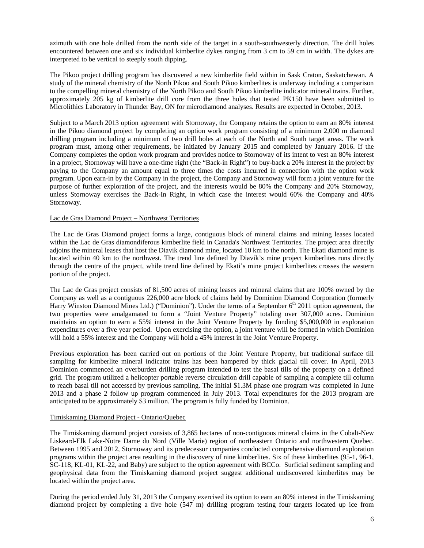azimuth with one hole drilled from the north side of the target in a south-southwesterly direction. The drill holes encountered between one and six individual kimberlite dykes ranging from 3 cm to 59 cm in width. The dykes are interpreted to be vertical to steeply south dipping.

The Pikoo project drilling program has discovered a new kimberlite field within in Sask Craton, Saskatchewan. A study of the mineral chemistry of the North Pikoo and South Pikoo kimberlites is underway including a comparison to the compelling mineral chemistry of the North Pikoo and South Pikoo kimberlite indicator mineral trains. Further, approximately 205 kg of kimberlite drill core from the three holes that tested PK150 have been submitted to Microlithics Laboratory in Thunder Bay, ON for microdiamond analyses. Results are expected in October, 2013.

Subject to a March 2013 option agreement with Stornoway, the Company retains the option to earn an 80% interest in the Pikoo diamond project by completing an option work program consisting of a minimum 2,000 m diamond drilling program including a minimum of two drill holes at each of the North and South target areas. The work program must, among other requirements, be initiated by January 2015 and completed by January 2016. If the Company completes the option work program and provides notice to Stornoway of its intent to vest an 80% interest in a project, Stornoway will have a one-time right (the "Back-in Right") to buy-back a 20% interest in the project by paying to the Company an amount equal to three times the costs incurred in connection with the option work program. Upon earn-in by the Company in the project, the Company and Stornoway will form a joint venture for the purpose of further exploration of the project, and the interests would be 80% the Company and 20% Stornoway, unless Stornoway exercises the Back-In Right, in which case the interest would 60% the Company and 40% Stornoway.

# Lac de Gras Diamond Project – Northwest Territories

The Lac de Gras Diamond project forms a large, contiguous block of mineral claims and mining leases located within the Lac de Gras diamondiferous kimberlite field in Canada's Northwest Territories. The project area directly adjoins the mineral leases that host the Diavik diamond mine, located 10 km to the north. The Ekati diamond mine is located within 40 km to the northwest. The trend line defined by Diavik's mine project kimberlites runs directly through the centre of the project, while trend line defined by Ekati's mine project kimberlites crosses the western portion of the project.

The Lac de Gras project consists of 81,500 acres of mining leases and mineral claims that are 100% owned by the Company as well as a contiguous 226,000 acre block of claims held by Dominion Diamond Corporation (formerly Harry Winston Diamond Mines Ltd.) ("Dominion"). Under the terms of a September  $6<sup>th</sup>$  2011 option agreement, the two properties were amalgamated to form a "Joint Venture Property" totaling over 307,000 acres. Dominion maintains an option to earn a 55% interest in the Joint Venture Property by funding \$5,000,000 in exploration expenditures over a five year period. Upon exercising the option, a joint venture will be formed in which Dominion will hold a 55% interest and the Company will hold a 45% interest in the Joint Venture Property.

Previous exploration has been carried out on portions of the Joint Venture Property, but traditional surface till sampling for kimberlite mineral indicator trains has been hampered by thick glacial till cover. In April, 2013 Dominion commenced an overburden drilling program intended to test the basal tills of the property on a defined grid. The program utilized a helicopter portable reverse circulation drill capable of sampling a complete till column to reach basal till not accessed by previous sampling. The initial \$1.3M phase one program was completed in June 2013 and a phase 2 follow up program commenced in July 2013. Total expenditures for the 2013 program are anticipated to be approximately \$3 million. The program is fully funded by Dominion.

#### Timiskaming Diamond Project - Ontario/Quebec

The Timiskaming diamond project consists of 3,865 hectares of non-contiguous mineral claims in the Cobalt-New Liskeard-Elk Lake-Notre Dame du Nord (Ville Marie) region of northeastern Ontario and northwestern Quebec. Between 1995 and 2012, Stornoway and its predecessor companies conducted comprehensive diamond exploration programs within the project area resulting in the discovery of nine kimberlites. Six of these kimberlites (95-1, 96-1, SC-118, KL-01, KL-22, and Baby) are subject to the option agreement with BCCo. Surficial sediment sampling and geophysical data from the Timiskaming diamond project suggest additional undiscovered kimberlites may be located within the project area.

During the period ended July 31, 2013 the Company exercised its option to earn an 80% interest in the Timiskaming diamond project by completing a five hole (547 m) drilling program testing four targets located up ice from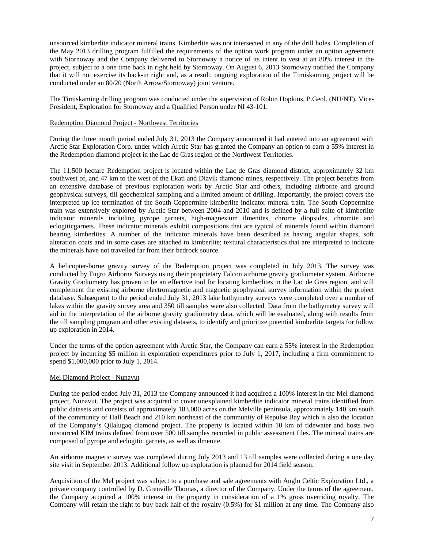unsourced kimberlite indicator mineral trains. Kimberlite was not intersected in any of the drill holes. Completion of the May 2013 drilling program fulfilled the requirements of the option work program under an option agreement with Stornoway and the Company delivered to Stornoway a notice of its intent to vest at an 80% interest in the project, subject to a one time back in right held by Stornoway. On August 6, 2013 Stornoway notified the Company that it will not exercise its back-in right and, as a result, ongoing exploration of the Timiskaming project will be conducted under an 80/20 (North Arrow/Stornoway) joint venture.

The Timiskaming drilling program was conducted under the supervision of Robin Hopkins, P.Geol. (NU/NT), Vice-President, Exploration for Stornoway and a Qualified Person under NI 43-101.

### Redemption Diamond Project - Northwest Territories

During the three month period ended July 31, 2013 the Company announced it had entered into an agreement with Arctic Star Exploration Corp. under which Arctic Star has granted the Company an option to earn a 55% interest in the Redemption diamond project in the Lac de Gras region of the Northwest Territories.

The 11,500 hectare Redemption project is located within the Lac de Gras diamond district, approximately 32 km southwest of, and 47 km to the west of the Ekati and Diavik diamond mines, respectively. The project benefits from an extensive database of previous exploration work by Arctic Star and others, including airborne and ground geophysical surveys, till geochemical sampling and a limited amount of drilling. Importantly, the project covers the interpreted up ice termination of the South Coppermine kimberlite indicator mineral train. The South Coppermine train was extensively explored by Arctic Star between 2004 and 2010 and is defined by a full suite of kimberlite indicator minerals including pyrope garnets, high-magnesium ilmenites, chrome diopsides, chromite and eclogiticgarnets. These indicator minerals exhibit compositions that are typical of minerals found within diamond bearing kimberlites. A number of the indicator minerals have been described as having angular shapes, soft alteration coats and in some cases are attached to kimberlite; textural characteristics that are interpreted to indicate the minerals have not travelled far from their bedrock source.

A helicopter-borne gravity survey of the Redemption project was completed in July 2013. The survey was conducted by Fugro Airborne Surveys using their proprietary Falcon airborne gravity gradiometer system. Airborne Gravity Gradiometry has proven to be an effective tool for locating kimberlites in the Lac de Gras region, and will complement the existing airborne electromagnetic and magnetic geophysical survey information within the project database. Subsequent to the period ended July 31, 2013 lake bathymetry surveys were completed over a number of lakes within the gravity survey area and 350 till samples were also collected. Data from the bathymetry survey will aid in the interpretation of the airborne gravity gradiometry data, which will be evaluated, along with results from the till sampling program and other existing datasets, to identify and prioritize potential kimberlite targets for follow up exploration in 2014.

Under the terms of the option agreement with Arctic Star, the Company can earn a 55% interest in the Redemption project by incurring \$5 million in exploration expenditures prior to July 1, 2017, including a firm commitment to spend \$1,000,000 prior to July 1, 2014.

## Mel Diamond Project - Nunavut

During the period ended July 31, 2013 the Company announced it had acquired a 100% interest in the Mel diamond project, Nunavut. The project was acquired to cover unexplained kimberlite indicator mineral trains identified from public datasets and consists of approximately 183,000 acres on the Melville peninsula, approximately 140 km south of the community of Hall Beach and 210 km northeast of the community of Repulse Bay which is also the location of the Company's Qilalugaq diamond project. The property is located within 10 km of tidewater and hosts two unsourced KIM trains defined from over 500 till samples recorded in public assessment files. The mineral trains are composed of pyrope and eclogitic garnets, as well as ilmenite.

An airborne magnetic survey was completed during July 2013 and 13 till samples were collected during a one day site visit in September 2013. Additional follow up exploration is planned for 2014 field season.

Acquisition of the Mel project was subject to a purchase and sale agreements with Anglo Celtic Exploration Ltd., a private company controlled by D. Grenville Thomas, a director of the Company. Under the terms of the agreement, the Company acquired a 100% interest in the property in consideration of a 1% gross overriding royalty. The Company will retain the right to buy back half of the royalty (0.5%) for \$1 million at any time. The Company also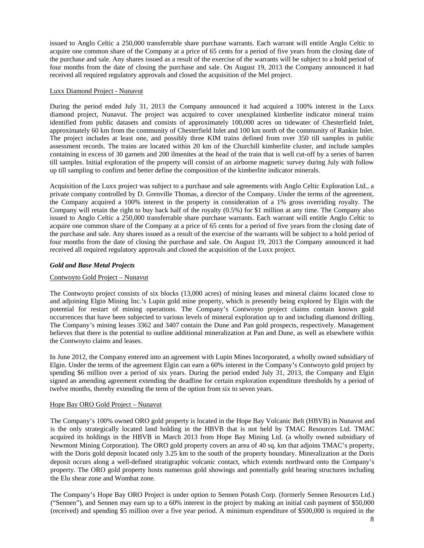issued to Anglo Celtic a 250,000 transferrable share purchase warrants. Each warrant will entitle Anglo Celtic to acquire one common share of the Company at a price of 65 cents for a period of five years from the closing date of the purchase and sale. Any shares issued as a result of the exercise of the warrants will be subject to a hold period of four months from the date of closing the purchase and sale. On August 19, 2013 the Company announced it had received all required regulatory approvals and closed the acquisition of the Mel project.

# Luxx Diamond Project - Nunavut

During the period ended July 31, 2013 the Company announced it had acquired a 100% interest in the Luxx diamond project, Nunavut. The project was acquired to cover unexplained kimberlite indicator mineral trains identified from public datasets and consists of approximately 100,000 acres on tidewater of Chesterfield Inlet, approximately 60 km from the community of Chesterfield Inlet and 100 km north of the community of Rankin Inlet. The project includes at least one, and possibly three KIM trains defined from over 350 till samples in public assessment records. The trains are located within 20 km of the Churchill kimberlite cluster, and include samples containing in excess of 30 garnets and 200 ilmenites at the head of the train that is well cut-off by a series of barren till samples. Initial exploration of the property will consist of an airborne magnetic survey during July with follow up till sampling to confirm and better define the composition of the kimberlite indicator minerals.

Acquisition of the Luxx project was subject to a purchase and sale agreements with Anglo Celtic Exploration Ltd., a private company controlled by D. Grenville Thomas, a director of the Company. Under the terms of the agreement, the Company acquired a 100% interest in the property in consideration of a 1% gross overriding royalty. The Company will retain the right to buy back half of the royalty (0.5%) for \$1 million at any time. The Company also issued to Anglo Celtic a 250,000 transferrable share purchase warrants. Each warrant will entitle Anglo Celtic to acquire one common share of the Company at a price of 65 cents for a period of five years from the closing date of the purchase and sale. Any shares issued as a result of the exercise of the warrants will be subject to a hold period of four months from the date of closing the purchase and sale. On August 19, 2013 the Company announced it had received all required regulatory approvals and closed the acquisition of the Luxx project.

# *Gold and Base Metal Projects*

# Contwoyto Gold Project – Nunavut

The Contwoyto project consists of six blocks (13,000 acres) of mining leases and mineral claims located close to and adjoining Elgin Mining Inc.'s Lupin gold mine property, which is presently being explored by Elgin with the potential for restart of mining operations. The Company's Contwoyto project claims contain known gold occurrences that have been subjected to various levels of mineral exploration up to and including diamond drilling. The Company's mining leases 3362 and 3407 contain the Dune and Pan gold prospects, respectively. Management believes that there is the potential to outline additional mineralization at Pan and Dune, as well as elsewhere within the Contwoyto claims and leases.

In June 2012, the Company entered into an agreement with Lupin Mines Incorporated, a wholly owned subsidiary of Elgin. Under the terms of the agreement Elgin can earn a 60% interest in the Company's Contwoyto gold project by spending \$6 million over a period of six years. During the period ended July 31, 2013, the Company and Elgin signed an amending agreement extending the deadline for certain exploration expenditure thresholds by a period of twelve months, thereby extending the term of the option from six to seven years.

#### Hope Bay ORO Gold Project – Nunavut

The Company's 100% owned ORO gold property is located in the Hope Bay Volcanic Belt (HBVB) in Nunavut and is the only strategically located land holding in the HBVB that is not held by TMAC Resources Ltd. TMAC acquired its holdings in the HBVB in March 2013 from Hope Bay Mining Ltd. (a wholly owned subsidiary of Newmont Mining Corporation). The ORO gold property covers an area of 40 sq. km that adjoins TMAC's property, with the Doris gold deposit located only 3.25 km to the south of the property boundary. Mineralization at the Doris deposit occurs along a well-defined stratigraphic volcanic contact, which extends northward onto the Company's property. The ORO gold property hosts numerous gold showings and potentially gold bearing structures including the Elu shear zone and Wombat zone.

The Company's Hope Bay ORO Project is under option to Sennen Potash Corp. (formerly Sennen Resources Ltd.) ("Sennen"), and Sennen may earn up to a 60% interest in the project by making an initial cash payment of \$50,000 (received) and spending \$5 million over a five year period. A minimum expenditure of \$500,000 is required in the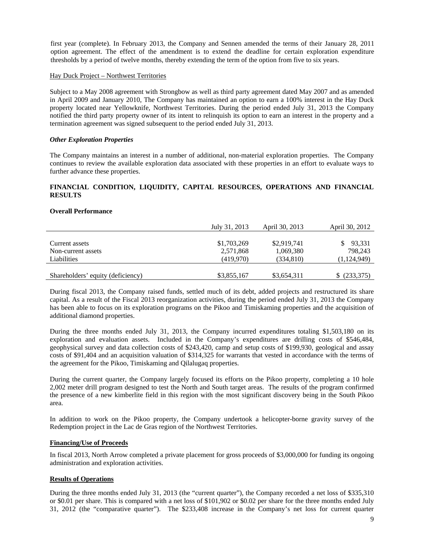first year (complete). In February 2013, the Company and Sennen amended the terms of their January 28, 2011 option agreement. The effect of the amendment is to extend the deadline for certain exploration expenditure thresholds by a period of twelve months, thereby extending the term of the option from five to six years.

#### Hay Duck Project – Northwest Territories

Subject to a May 2008 agreement with Strongbow as well as third party agreement dated May 2007 and as amended in April 2009 and January 2010, The Company has maintained an option to earn a 100% interest in the Hay Duck property located near Yellowknife, Northwest Territories. During the period ended July 31, 2013 the Company notified the third party property owner of its intent to relinquish its option to earn an interest in the property and a termination agreement was signed subsequent to the period ended July 31, 2013.

# *Other Exploration Properties*

The Company maintains an interest in a number of additional, non-material exploration properties. The Company continues to review the available exploration data associated with these properties in an effort to evaluate ways to further advance these properties.

# **FINANCIAL CONDITION, LIQUIDITY, CAPITAL RESOURCES, OPERATIONS AND FINANCIAL RESULTS**

## **Overall Performance**

|                                   | July 31, 2013 | April 30, 2013 | April 30, 2012 |
|-----------------------------------|---------------|----------------|----------------|
| Current assets                    | \$1,703,269   | \$2,919,741    | 93,331         |
| Non-current assets                | 2,571,868     | 1,069,380      | 798.243        |
| Liabilities                       | (419.970)     | (334, 810)     | (1,124,949)    |
| Shareholders' equity (deficiency) | \$3,855,167   | \$3,654,311    | \$ (233,375)   |

During fiscal 2013, the Company raised funds, settled much of its debt, added projects and restructured its share capital. As a result of the Fiscal 2013 reorganization activities, during the period ended July 31, 2013 the Company has been able to focus on its exploration programs on the Pikoo and Timiskaming properties and the acquisition of additional diamond properties.

During the three months ended July 31, 2013, the Company incurred expenditures totaling \$1,503,180 on its exploration and evaluation assets. Included in the Company's expenditures are drilling costs of \$546,484, geophysical survey and data collection costs of \$243,420, camp and setup costs of \$199,930, geological and assay costs of \$91,404 and an acquisition valuation of \$314,325 for warrants that vested in accordance with the terms of the agreement for the Pikoo, Timiskaming and Qilalugaq properties.

During the current quarter, the Company largely focused its efforts on the Pikoo property, completing a 10 hole 2,002 meter drill program designed to test the North and South target areas. The results of the program confirmed the presence of a new kimberlite field in this region with the most significant discovery being in the South Pikoo area.

In addition to work on the Pikoo property, the Company undertook a helicopter-borne gravity survey of the Redemption project in the Lac de Gras region of the Northwest Territories.

# **Financing/Use of Proceeds**

In fiscal 2013, North Arrow completed a private placement for gross proceeds of \$3,000,000 for funding its ongoing administration and exploration activities.

# **Results of Operations**

During the three months ended July 31, 2013 (the "current quarter"), the Company recorded a net loss of \$335,310 or \$0.01 per share. This is compared with a net loss of \$101,902 or \$0.02 per share for the three months ended July 31, 2012 (the "comparative quarter"). The \$233,408 increase in the Company's net loss for current quarter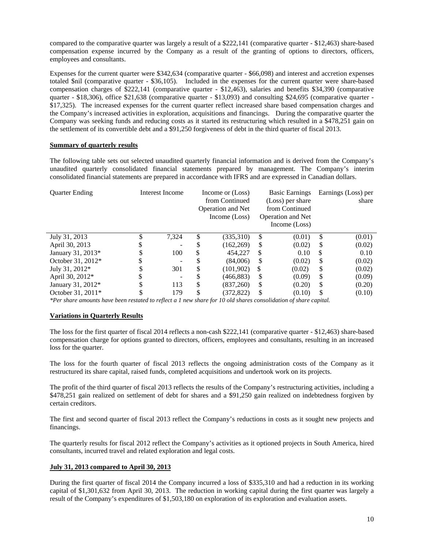compared to the comparative quarter was largely a result of a \$222,141 (comparative quarter - \$12,463) share-based compensation expense incurred by the Company as a result of the granting of options to directors, officers, employees and consultants.

Expenses for the current quarter were \$342,634 (comparative quarter - \$66,098) and interest and accretion expenses totaled \$nil (comparative quarter - \$36,105). Included in the expenses for the current quarter were share-based compensation charges of \$222,141 (comparative quarter - \$12,463), salaries and benefits \$34,390 (comparative quarter - \$18,306), office \$21,638 (comparative quarter - \$13,093) and consulting \$24,695 (comparative quarter -\$17,325). The increased expenses for the current quarter reflect increased share based compensation charges and the Company's increased activities in exploration, acquisitions and financings. During the comparative quarter the Company was seeking funds and reducing costs as it started its restructuring which resulted in a \$478,251 gain on the settlement of its convertible debt and a \$91,250 forgiveness of debt in the third quarter of fiscal 2013.

# **Summary of quarterly results**

The following table sets out selected unaudited quarterly financial information and is derived from the Company's unaudited quarterly consolidated financial statements prepared by management. The Company's interim consolidated financial statements are prepared in accordance with IFRS and are expressed in Canadian dollars.

|       |                 | Income (Loss) | <b>Basic Earnings</b><br>(Loss) per share<br>from Continued<br><b>Operation and Net</b><br>Income (Loss) |        |    |        | Earnings (Loss) per<br>share |
|-------|-----------------|---------------|----------------------------------------------------------------------------------------------------------|--------|----|--------|------------------------------|
| 7,324 | \$              | (335,310)     | S                                                                                                        | (0.01) | \$ | (0.01) |                              |
|       |                 | (162, 269)    | S                                                                                                        | (0.02) | S  | (0.02) |                              |
| 100   | Jэ              | 454,227       | S                                                                                                        | 0.10   | S  | 0.10   |                              |
|       |                 | (84,006)      | S                                                                                                        | (0.02) | \$ | (0.02) |                              |
| 301   | \$              | (101, 902)    | <sup>\$</sup>                                                                                            | (0.02) | \$ | (0.02) |                              |
|       | S               | (466.883)     | \$                                                                                                       | (0.09) | \$ | (0.09) |                              |
| 113   | \$              | (837,260)     | S                                                                                                        | (0.20) | \$ | (0.20) |                              |
| 179   | \$              | (372,822)     | \$                                                                                                       | (0.10) | \$ | (0.10) |                              |
|       | Interest Income |               | Income or (Loss)<br>from Continued<br><b>Operation and Net</b>                                           |        |    |        |                              |

*\*Per share amounts have been restated to reflect a 1 new share for 10 old shares consolidation of share capital.* 

#### **Variations in Quarterly Results**

The loss for the first quarter of fiscal 2014 reflects a non-cash \$222,141 (comparative quarter - \$12,463) share-based compensation charge for options granted to directors, officers, employees and consultants, resulting in an increased loss for the quarter.

The loss for the fourth quarter of fiscal 2013 reflects the ongoing administration costs of the Company as it restructured its share capital, raised funds, completed acquisitions and undertook work on its projects.

The profit of the third quarter of fiscal 2013 reflects the results of the Company's restructuring activities, including a \$478,251 gain realized on settlement of debt for shares and a \$91,250 gain realized on indebtedness forgiven by certain creditors.

The first and second quarter of fiscal 2013 reflect the Company's reductions in costs as it sought new projects and financings.

The quarterly results for fiscal 2012 reflect the Company's activities as it optioned projects in South America, hired consultants, incurred travel and related exploration and legal costs.

#### **July 31, 2013 compared to April 30, 2013**

During the first quarter of fiscal 2014 the Company incurred a loss of \$335,310 and had a reduction in its working capital of \$1,301,632 from April 30, 2013. The reduction in working capital during the first quarter was largely a result of the Company's expenditures of \$1,503,180 on exploration of its exploration and evaluation assets.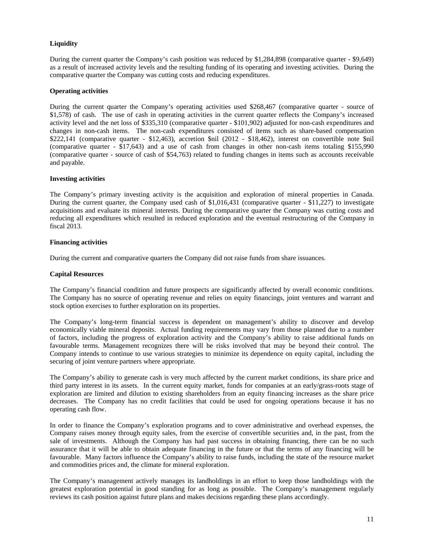# **Liquidity**

During the current quarter the Company's cash position was reduced by \$1,284,898 (comparative quarter - \$9,649) as a result of increased activity levels and the resulting funding of its operating and investing activities. During the comparative quarter the Company was cutting costs and reducing expenditures.

# **Operating activities**

During the current quarter the Company's operating activities used \$268,467 (comparative quarter - source of \$1,578) of cash. The use of cash in operating activities in the current quarter reflects the Company's increased activity level and the net loss of \$335,310 (comparative quarter - \$101,902) adjusted for non-cash expenditures and changes in non-cash items. The non-cash expenditures consisted of items such as share-based compensation \$222,141 (comparative quarter - \$12,463), accretion \$nil (2012 - \$18,462), interest on convertible note \$nil (comparative quarter - \$17,643) and a use of cash from changes in other non-cash items totaling \$155,990 (comparative quarter - source of cash of \$54,763) related to funding changes in items such as accounts receivable and payable.

# **Investing activities**

The Company's primary investing activity is the acquisition and exploration of mineral properties in Canada. During the current quarter, the Company used cash of \$1,016,431 (comparative quarter - \$11,227) to investigate acquisitions and evaluate its mineral interests. During the comparative quarter the Company was cutting costs and reducing all expenditures which resulted in reduced exploration and the eventual restructuring of the Company in fiscal 2013.

# **Financing activities**

During the current and comparative quarters the Company did not raise funds from share issuances.

## **Capital Resources**

The Company's financial condition and future prospects are significantly affected by overall economic conditions. The Company has no source of operating revenue and relies on equity financings, joint ventures and warrant and stock option exercises to further exploration on its properties.

The Company's long-term financial success is dependent on management's ability to discover and develop economically viable mineral deposits. Actual funding requirements may vary from those planned due to a number of factors, including the progress of exploration activity and the Company's ability to raise additional funds on favourable terms. Management recognizes there will be risks involved that may be beyond their control. The Company intends to continue to use various strategies to minimize its dependence on equity capital, including the securing of joint venture partners where appropriate.

The Company's ability to generate cash is very much affected by the current market conditions, its share price and third party interest in its assets. In the current equity market, funds for companies at an early/grass-roots stage of exploration are limited and dilution to existing shareholders from an equity financing increases as the share price decreases. The Company has no credit facilities that could be used for ongoing operations because it has no operating cash flow.

In order to finance the Company's exploration programs and to cover administrative and overhead expenses, the Company raises money through equity sales, from the exercise of convertible securities and, in the past, from the sale of investments. Although the Company has had past success in obtaining financing, there can be no such assurance that it will be able to obtain adequate financing in the future or that the terms of any financing will be favourable. Many factors influence the Company's ability to raise funds, including the state of the resource market and commodities prices and, the climate for mineral exploration.

The Company's management actively manages its landholdings in an effort to keep those landholdings with the greatest exploration potential in good standing for as long as possible. The Company's management regularly reviews its cash position against future plans and makes decisions regarding these plans accordingly.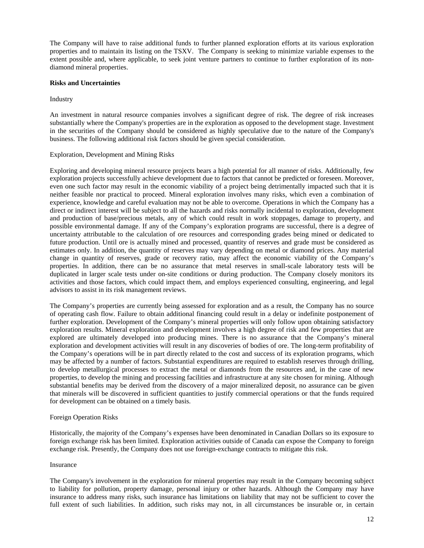The Company will have to raise additional funds to further planned exploration efforts at its various exploration properties and to maintain its listing on the TSXV. The Company is seeking to minimize variable expenses to the extent possible and, where applicable, to seek joint venture partners to continue to further exploration of its nondiamond mineral properties.

#### **Risks and Uncertainties**

## Industry

An investment in natural resource companies involves a significant degree of risk. The degree of risk increases substantially where the Company's properties are in the exploration as opposed to the development stage. Investment in the securities of the Company should be considered as highly speculative due to the nature of the Company's business. The following additional risk factors should be given special consideration.

# Exploration, Development and Mining Risks

Exploring and developing mineral resource projects bears a high potential for all manner of risks. Additionally, few exploration projects successfully achieve development due to factors that cannot be predicted or foreseen. Moreover, even one such factor may result in the economic viability of a project being detrimentally impacted such that it is neither feasible nor practical to proceed. Mineral exploration involves many risks, which even a combination of experience, knowledge and careful evaluation may not be able to overcome. Operations in which the Company has a direct or indirect interest will be subject to all the hazards and risks normally incidental to exploration, development and production of base/precious metals, any of which could result in work stoppages, damage to property, and possible environmental damage. If any of the Company's exploration programs are successful, there is a degree of uncertainty attributable to the calculation of ore resources and corresponding grades being mined or dedicated to future production. Until ore is actually mined and processed, quantity of reserves and grade must be considered as estimates only. In addition, the quantity of reserves may vary depending on metal or diamond prices. Any material change in quantity of reserves, grade or recovery ratio, may affect the economic viability of the Company's properties. In addition, there can be no assurance that metal reserves in small-scale laboratory tests will be duplicated in larger scale tests under on-site conditions or during production. The Company closely monitors its activities and those factors, which could impact them, and employs experienced consulting, engineering, and legal advisors to assist in its risk management reviews.

The Company's properties are currently being assessed for exploration and as a result, the Company has no source of operating cash flow. Failure to obtain additional financing could result in a delay or indefinite postponement of further exploration. Development of the Company's mineral properties will only follow upon obtaining satisfactory exploration results. Mineral exploration and development involves a high degree of risk and few properties that are explored are ultimately developed into producing mines. There is no assurance that the Company's mineral exploration and development activities will result in any discoveries of bodies of ore. The long-term profitability of the Company's operations will be in part directly related to the cost and success of its exploration programs, which may be affected by a number of factors. Substantial expenditures are required to establish reserves through drilling, to develop metallurgical processes to extract the metal or diamonds from the resources and, in the case of new properties, to develop the mining and processing facilities and infrastructure at any site chosen for mining. Although substantial benefits may be derived from the discovery of a major mineralized deposit, no assurance can be given that minerals will be discovered in sufficient quantities to justify commercial operations or that the funds required for development can be obtained on a timely basis.

#### Foreign Operation Risks

Historically, the majority of the Company's expenses have been denominated in Canadian Dollars so its exposure to foreign exchange risk has been limited. Exploration activities outside of Canada can expose the Company to foreign exchange risk. Presently, the Company does not use foreign-exchange contracts to mitigate this risk.

#### Insurance

The Company's involvement in the exploration for mineral properties may result in the Company becoming subject to liability for pollution, property damage, personal injury or other hazards. Although the Company may have insurance to address many risks, such insurance has limitations on liability that may not be sufficient to cover the full extent of such liabilities. In addition, such risks may not, in all circumstances be insurable or, in certain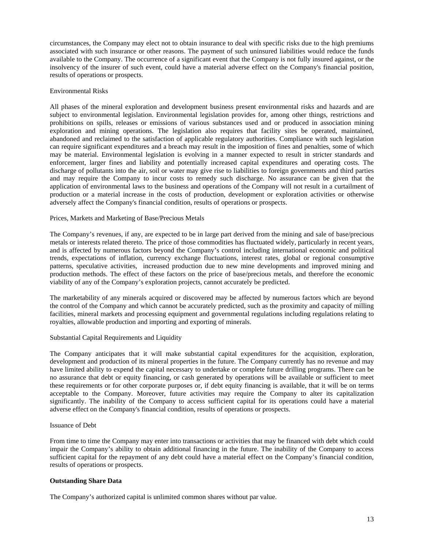circumstances, the Company may elect not to obtain insurance to deal with specific risks due to the high premiums associated with such insurance or other reasons. The payment of such uninsured liabilities would reduce the funds available to the Company. The occurrence of a significant event that the Company is not fully insured against, or the insolvency of the insurer of such event, could have a material adverse effect on the Company's financial position, results of operations or prospects.

# Environmental Risks

All phases of the mineral exploration and development business present environmental risks and hazards and are subject to environmental legislation. Environmental legislation provides for, among other things, restrictions and prohibitions on spills, releases or emissions of various substances used and or produced in association mining exploration and mining operations. The legislation also requires that facility sites be operated, maintained, abandoned and reclaimed to the satisfaction of applicable regulatory authorities. Compliance with such legislation can require significant expenditures and a breach may result in the imposition of fines and penalties, some of which may be material. Environmental legislation is evolving in a manner expected to result in stricter standards and enforcement, larger fines and liability and potentially increased capital expenditures and operating costs. The discharge of pollutants into the air, soil or water may give rise to liabilities to foreign governments and third parties and may require the Company to incur costs to remedy such discharge. No assurance can be given that the application of environmental laws to the business and operations of the Company will not result in a curtailment of production or a material increase in the costs of production, development or exploration activities or otherwise adversely affect the Company's financial condition, results of operations or prospects.

# Prices, Markets and Marketing of Base/Precious Metals

The Company's revenues, if any, are expected to be in large part derived from the mining and sale of base/precious metals or interests related thereto. The price of those commodities has fluctuated widely, particularly in recent years, and is affected by numerous factors beyond the Company's control including international economic and political trends, expectations of inflation, currency exchange fluctuations, interest rates, global or regional consumptive patterns, speculative activities, increased production due to new mine developments and improved mining and production methods. The effect of these factors on the price of base/precious metals, and therefore the economic viability of any of the Company's exploration projects, cannot accurately be predicted.

The marketability of any minerals acquired or discovered may be affected by numerous factors which are beyond the control of the Company and which cannot be accurately predicted, such as the proximity and capacity of milling facilities, mineral markets and processing equipment and governmental regulations including regulations relating to royalties, allowable production and importing and exporting of minerals.

# Substantial Capital Requirements and Liquidity

The Company anticipates that it will make substantial capital expenditures for the acquisition, exploration, development and production of its mineral properties in the future. The Company currently has no revenue and may have limited ability to expend the capital necessary to undertake or complete future drilling programs. There can be no assurance that debt or equity financing, or cash generated by operations will be available or sufficient to meet these requirements or for other corporate purposes or, if debt equity financing is available, that it will be on terms acceptable to the Company. Moreover, future activities may require the Company to alter its capitalization significantly. The inability of the Company to access sufficient capital for its operations could have a material adverse effect on the Company's financial condition, results of operations or prospects.

#### Issuance of Debt

From time to time the Company may enter into transactions or activities that may be financed with debt which could impair the Company's ability to obtain additional financing in the future. The inability of the Company to access sufficient capital for the repayment of any debt could have a material effect on the Company's financial condition, results of operations or prospects.

# **Outstanding Share Data**

The Company's authorized capital is unlimited common shares without par value.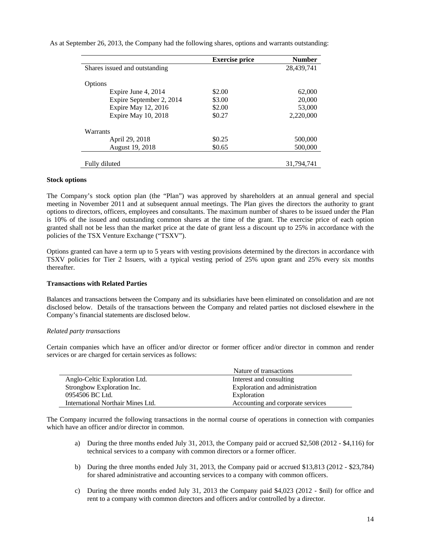As at September 26, 2013, the Company had the following shares, options and warrants outstanding:

|                               | <b>Exercise price</b> | <b>Number</b> |
|-------------------------------|-----------------------|---------------|
| Shares issued and outstanding |                       | 28,439,741    |
|                               |                       |               |
| Options                       |                       |               |
| Expire June 4, 2014           | \$2.00                | 62,000        |
| Expire September 2, 2014      | \$3.00                | 20,000        |
| Expire May 12, 2016           | \$2.00                | 53,000        |
| Expire May 10, 2018           | \$0.27                | 2,220,000     |
| Warrants                      |                       |               |
| April 29, 2018                | \$0.25                | 500,000       |
| August 19, 2018               | \$0.65                | 500,000       |
|                               |                       |               |
| Fully diluted                 |                       | 31,794,741    |

#### **Stock options**

The Company's stock option plan (the "Plan") was approved by shareholders at an annual general and special meeting in November 2011 and at subsequent annual meetings. The Plan gives the directors the authority to grant options to directors, officers, employees and consultants. The maximum number of shares to be issued under the Plan is 10% of the issued and outstanding common shares at the time of the grant. The exercise price of each option granted shall not be less than the market price at the date of grant less a discount up to 25% in accordance with the policies of the TSX Venture Exchange ("TSXV").

Options granted can have a term up to 5 years with vesting provisions determined by the directors in accordance with TSXV policies for Tier 2 Issuers, with a typical vesting period of 25% upon grant and 25% every six months thereafter.

# **Transactions with Related Parties**

Balances and transactions between the Company and its subsidiaries have been eliminated on consolidation and are not disclosed below. Details of the transactions between the Company and related parties not disclosed elsewhere in the Company's financial statements are disclosed below.

#### *Related party transactions*

Certain companies which have an officer and/or director or former officer and/or director in common and render services or are charged for certain services as follows:

|                                   | Nature of transactions            |
|-----------------------------------|-----------------------------------|
| Anglo-Celtic Exploration Ltd.     | Interest and consulting           |
| Strongbow Exploration Inc.        | Exploration and administration    |
| 0954506 BC Ltd.                   | Exploration                       |
| International Northair Mines Ltd. | Accounting and corporate services |

The Company incurred the following transactions in the normal course of operations in connection with companies which have an officer and/or director in common.

- a) During the three months ended July 31, 2013, the Company paid or accrued \$2,508 (2012 \$4,116) for technical services to a company with common directors or a former officer.
- b) During the three months ended July 31, 2013, the Company paid or accrued \$13,813 (2012 \$23,784) for shared administrative and accounting services to a company with common officers.
- c) During the three months ended July 31, 2013 the Company paid \$4,023 (2012 \$nil) for office and rent to a company with common directors and officers and/or controlled by a director.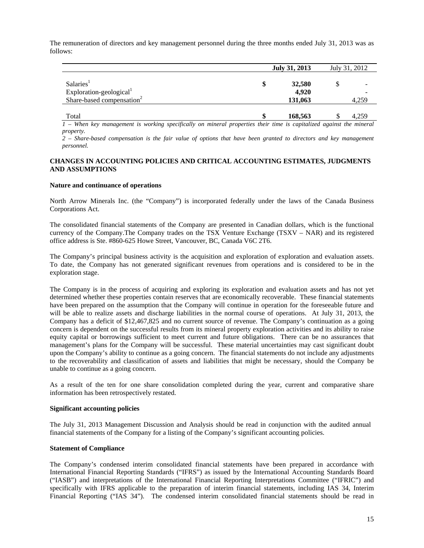The remuneration of directors and key management personnel during the three months ended July 31, 2013 was as follows:

|                                                                              | July 31, 2013 | July 31, 2012 |
|------------------------------------------------------------------------------|---------------|---------------|
| Salaries <sup>1</sup>                                                        | \$<br>32,580  |               |
|                                                                              | 4.920         | ۰             |
| Exploration-geological <sup>1</sup><br>Share-based compensation <sup>2</sup> | 131,063       | 4,259         |
| Total                                                                        | \$<br>168,563 | 4,259         |

*1 – When key management is working specifically on mineral properties their time is capitalized against the mineral property.* 

*2 – Share-based compensation is the fair value of options that have been granted to directors and key management personnel.* 

# **CHANGES IN ACCOUNTING POLICIES AND CRITICAL ACCOUNTING ESTIMATES, JUDGMENTS AND ASSUMPTIONS**

#### **Nature and continuance of operations**

North Arrow Minerals Inc. (the "Company") is incorporated federally under the laws of the Canada Business Corporations Act.

The consolidated financial statements of the Company are presented in Canadian dollars, which is the functional currency of the Company.The Company trades on the TSX Venture Exchange (TSXV – NAR) and its registered office address is Ste. #860-625 Howe Street, Vancouver, BC, Canada V6C 2T6.

The Company's principal business activity is the acquisition and exploration of exploration and evaluation assets. To date, the Company has not generated significant revenues from operations and is considered to be in the exploration stage.

The Company is in the process of acquiring and exploring its exploration and evaluation assets and has not yet determined whether these properties contain reserves that are economically recoverable. These financial statements have been prepared on the assumption that the Company will continue in operation for the foreseeable future and will be able to realize assets and discharge liabilities in the normal course of operations. At July 31, 2013, the Company has a deficit of \$12,467,825 and no current source of revenue. The Company's continuation as a going concern is dependent on the successful results from its mineral property exploration activities and its ability to raise equity capital or borrowings sufficient to meet current and future obligations. There can be no assurances that management's plans for the Company will be successful. These material uncertainties may cast significant doubt upon the Company's ability to continue as a going concern. The financial statements do not include any adjustments to the recoverability and classification of assets and liabilities that might be necessary, should the Company be unable to continue as a going concern.

As a result of the ten for one share consolidation completed during the year, current and comparative share information has been retrospectively restated.

#### **Significant accounting policies**

The July 31, 2013 Management Discussion and Analysis should be read in conjunction with the audited annual financial statements of the Company for a listing of the Company's significant accounting policies.

#### **Statement of Compliance**

The Company's condensed interim consolidated financial statements have been prepared in accordance with International Financial Reporting Standards ("IFRS") as issued by the International Accounting Standards Board ("IASB") and interpretations of the International Financial Reporting Interpretations Committee ("IFRIC") and specifically with IFRS applicable to the preparation of interim financial statements, including IAS 34, Interim Financial Reporting ("IAS 34"). The condensed interim consolidated financial statements should be read in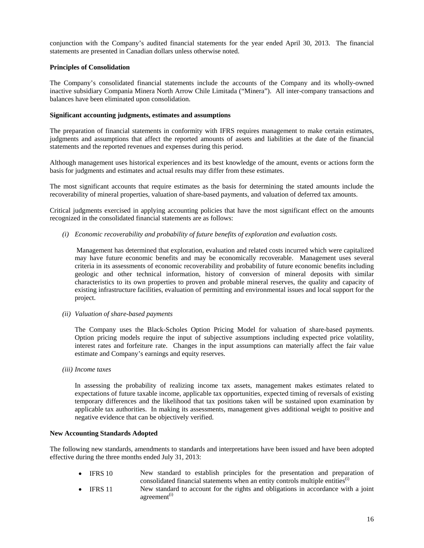conjunction with the Company's audited financial statements for the year ended April 30, 2013. The financial statements are presented in Canadian dollars unless otherwise noted.

# **Principles of Consolidation**

The Company's consolidated financial statements include the accounts of the Company and its wholly-owned inactive subsidiary Compania Minera North Arrow Chile Limitada ("Minera"). All inter-company transactions and balances have been eliminated upon consolidation.

## **Significant accounting judgments, estimates and assumptions**

The preparation of financial statements in conformity with IFRS requires management to make certain estimates, judgments and assumptions that affect the reported amounts of assets and liabilities at the date of the financial statements and the reported revenues and expenses during this period.

Although management uses historical experiences and its best knowledge of the amount, events or actions form the basis for judgments and estimates and actual results may differ from these estimates.

The most significant accounts that require estimates as the basis for determining the stated amounts include the recoverability of mineral properties, valuation of share-based payments, and valuation of deferred tax amounts.

Critical judgments exercised in applying accounting policies that have the most significant effect on the amounts recognized in the consolidated financial statements are as follows:

*(i) Economic recoverability and probability of future benefits of exploration and evaluation costs.* 

 Management has determined that exploration, evaluation and related costs incurred which were capitalized may have future economic benefits and may be economically recoverable. Management uses several criteria in its assessments of economic recoverability and probability of future economic benefits including geologic and other technical information, history of conversion of mineral deposits with similar characteristics to its own properties to proven and probable mineral reserves, the quality and capacity of existing infrastructure facilities, evaluation of permitting and environmental issues and local support for the project.

*(ii) Valuation of share-based payments* 

The Company uses the Black-Scholes Option Pricing Model for valuation of share-based payments. Option pricing models require the input of subjective assumptions including expected price volatility, interest rates and forfeiture rate. Changes in the input assumptions can materially affect the fair value estimate and Company's earnings and equity reserves.

*(iii) Income taxes*

In assessing the probability of realizing income tax assets, management makes estimates related to expectations of future taxable income, applicable tax opportunities, expected timing of reversals of existing temporary differences and the likelihood that tax positions taken will be sustained upon examination by applicable tax authorities. In making its assessments, management gives additional weight to positive and negative evidence that can be objectively verified.

# **New Accounting Standards Adopted**

The following new standards, amendments to standards and interpretations have been issued and have been adopted effective during the three months ended July 31, 2013:

- IFRS 10 New standard to establish principles for the presentation and preparation of consolidated financial statements when an entity controls multiple entities $^{(i)}$
- IFRS 11 New standard to account for the rights and obligations in accordance with a joint  $agreement<sup>(i)</sup>$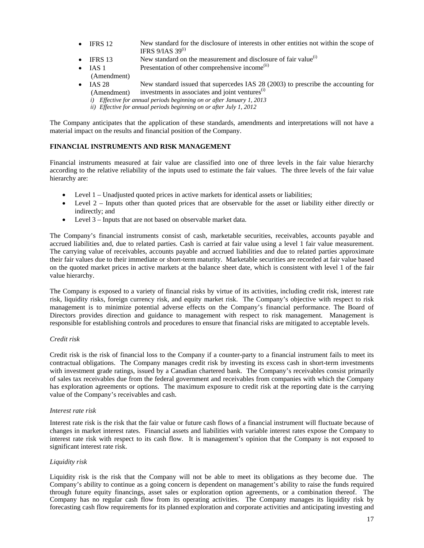- IFRS 12 New standard for the disclosure of interests in other entities not within the scope of IFRS  $9/IAS$  39<sup>(i)</sup>
- **IFRS** 13 New standard on the measurement and disclosure of fair value<sup>(i)</sup>
- IAS 1 Presentation of other comprehensive income<sup>(ii)</sup>
- (Amendment)  $\bullet$  IAS 28 New standard issued that supercedes IAS 28 (2003) to prescribe the accounting for
- (Amendment) investments in associates and joint ventures $<sup>(i)</sup>$ </sup>
	- *i) Effective for annual periods beginning on or after January 1, 2013*
	- *ii) Effective for annual periods beginning on or after July 1, 2012*

The Company anticipates that the application of these standards, amendments and interpretations will not have a material impact on the results and financial position of the Company.

# **FINANCIAL INSTRUMENTS AND RISK MANAGEMENT**

Financial instruments measured at fair value are classified into one of three levels in the fair value hierarchy according to the relative reliability of the inputs used to estimate the fair values. The three levels of the fair value hierarchy are:

- Level 1 Unadjusted quoted prices in active markets for identical assets or liabilities;
- Level 2 Inputs other than quoted prices that are observable for the asset or liability either directly or indirectly; and
- Level 3 Inputs that are not based on observable market data.

The Company's financial instruments consist of cash, marketable securities, receivables, accounts payable and accrued liabilities and, due to related parties. Cash is carried at fair value using a level 1 fair value measurement. The carrying value of receivables, accounts payable and accrued liabilities and due to related parties approximate their fair values due to their immediate or short-term maturity. Marketable securities are recorded at fair value based on the quoted market prices in active markets at the balance sheet date, which is consistent with level 1 of the fair value hierarchy.

The Company is exposed to a variety of financial risks by virtue of its activities, including credit risk, interest rate risk, liquidity risks, foreign currency risk, and equity market risk. The Company's objective with respect to risk management is to minimize potential adverse effects on the Company's financial performance. The Board of Directors provides direction and guidance to management with respect to risk management. Management is responsible for establishing controls and procedures to ensure that financial risks are mitigated to acceptable levels.

#### *Credit risk*

Credit risk is the risk of financial loss to the Company if a counter-party to a financial instrument fails to meet its contractual obligations. The Company manages credit risk by investing its excess cash in short-term investments with investment grade ratings, issued by a Canadian chartered bank. The Company's receivables consist primarily of sales tax receivables due from the federal government and receivables from companies with which the Company has exploration agreements or options. The maximum exposure to credit risk at the reporting date is the carrying value of the Company's receivables and cash.

#### *Interest rate risk*

Interest rate risk is the risk that the fair value or future cash flows of a financial instrument will fluctuate because of changes in market interest rates. Financial assets and liabilities with variable interest rates expose the Company to interest rate risk with respect to its cash flow. It is management's opinion that the Company is not exposed to significant interest rate risk.

#### *Liquidity risk*

Liquidity risk is the risk that the Company will not be able to meet its obligations as they become due. The Company's ability to continue as a going concern is dependent on management's ability to raise the funds required through future equity financings, asset sales or exploration option agreements, or a combination thereof. The Company has no regular cash flow from its operating activities. The Company manages its liquidity risk by forecasting cash flow requirements for its planned exploration and corporate activities and anticipating investing and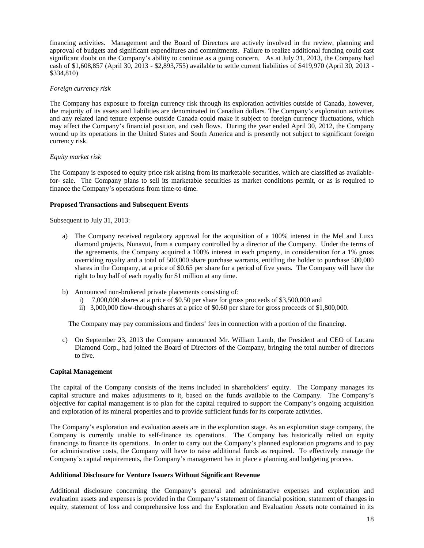financing activities. Management and the Board of Directors are actively involved in the review, planning and approval of budgets and significant expenditures and commitments. Failure to realize additional funding could cast significant doubt on the Company's ability to continue as a going concern. As at July 31, 2013, the Company had cash of \$1,608,857 (April 30, 2013 - \$2,893,755) available to settle current liabilities of \$419,970 (April 30, 2013 - \$334,810)

## *Foreign currency risk*

The Company has exposure to foreign currency risk through its exploration activities outside of Canada, however, the majority of its assets and liabilities are denominated in Canadian dollars. The Company's exploration activities and any related land tenure expense outside Canada could make it subject to foreign currency fluctuations, which may affect the Company's financial position, and cash flows. During the year ended April 30, 2012, the Company wound up its operations in the United States and South America and is presently not subject to significant foreign currency risk.

# *Equity market risk*

The Company is exposed to equity price risk arising from its marketable securities, which are classified as availablefor- sale. The Company plans to sell its marketable securities as market conditions permit, or as is required to finance the Company's operations from time-to-time.

# **Proposed Transactions and Subsequent Events**

Subsequent to July 31, 2013:

- a) The Company received regulatory approval for the acquisition of a 100% interest in the Mel and Luxx diamond projects, Nunavut, from a company controlled by a director of the Company. Under the terms of the agreements, the Company acquired a 100% interest in each property, in consideration for a 1% gross overriding royalty and a total of 500,000 share purchase warrants, entitling the holder to purchase 500,000 shares in the Company, at a price of \$0.65 per share for a period of five years. The Company will have the right to buy half of each royalty for \$1 million at any time.
- b) Announced non-brokered private placements consisting of:
	- i) 7,000,000 shares at a price of \$0.50 per share for gross proceeds of \$3,500,000 and
	- ii) 3,000,000 flow-through shares at a price of \$0.60 per share for gross proceeds of \$1,800,000.

The Company may pay commissions and finders' fees in connection with a portion of the financing.

c) On September 23, 2013 the Company announced Mr. William Lamb, the President and CEO of Lucara Diamond Corp., had joined the Board of Directors of the Company, bringing the total number of directors to five.

#### **Capital Management**

The capital of the Company consists of the items included in shareholders' equity. The Company manages its capital structure and makes adjustments to it, based on the funds available to the Company. The Company's objective for capital management is to plan for the capital required to support the Company's ongoing acquisition and exploration of its mineral properties and to provide sufficient funds for its corporate activities.

The Company's exploration and evaluation assets are in the exploration stage. As an exploration stage company, the Company is currently unable to self-finance its operations. The Company has historically relied on equity financings to finance its operations. In order to carry out the Company's planned exploration programs and to pay for administrative costs, the Company will have to raise additional funds as required. To effectively manage the Company's capital requirements, the Company's management has in place a planning and budgeting process.

#### **Additional Disclosure for Venture Issuers Without Significant Revenue**

Additional disclosure concerning the Company's general and administrative expenses and exploration and evaluation assets and expenses is provided in the Company's statement of financial position, statement of changes in equity, statement of loss and comprehensive loss and the Exploration and Evaluation Assets note contained in its